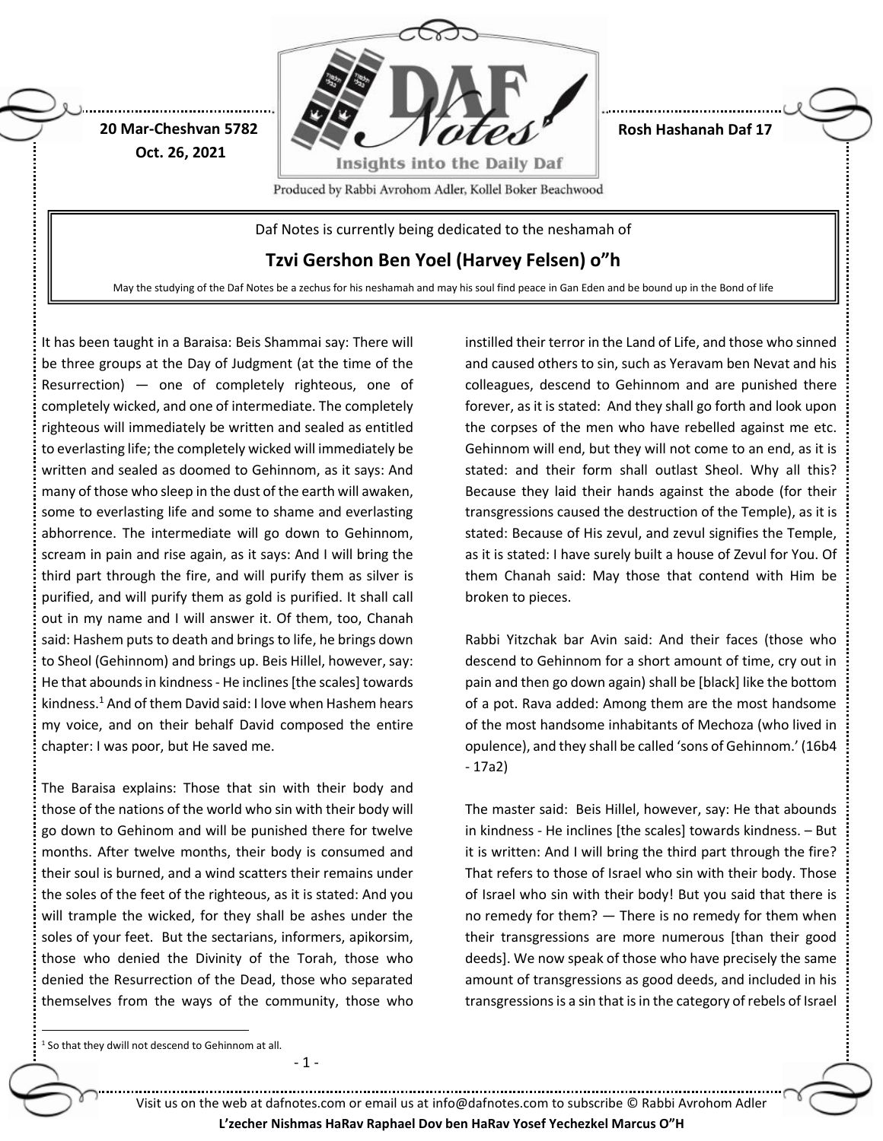

**Rosh Hashanah Daf 17**

Produced by Rabbi Avrohom Adler, Kollel Boker Beachwood

Daf Notes is currently being dedicated to the neshamah of

**Tzvi Gershon Ben Yoel (Harvey Felsen) o"h**

May the studying of the Daf Notes be a zechus for his neshamah and may his soul find peace in Gan Eden and be bound up in the Bond of life

It has been taught in a Baraisa: Beis Shammai say: There will be three groups at the Day of Judgment (at the time of the Resurrection) — one of completely righteous, one of completely wicked, and one of intermediate. The completely righteous will immediately be written and sealed as entitled to everlasting life; the completely wicked will immediately be written and sealed as doomed to Gehinnom, as it says: And many of those who sleep in the dust of the earth will awaken, some to everlasting life and some to shame and everlasting abhorrence. The intermediate will go down to Gehinnom, scream in pain and rise again, as it says: And I will bring the third part through the fire, and will purify them as silver is purified, and will purify them as gold is purified. It shall call out in my name and I will answer it. Of them, too, Chanah said: Hashem puts to death and brings to life, he brings down to Sheol (Gehinnom) and brings up. Beis Hillel, however, say: He that abounds in kindness - He inclines [the scales] towards kindness. <sup>1</sup> And of them David said: I love when Hashem hears my voice, and on their behalf David composed the entire chapter: I was poor, but He saved me.

**20 Mar-Cheshvan 5782 Oct. 26, 2021**

The Baraisa explains: Those that sin with their body and those of the nations of the world who sin with their body will go down to Gehinom and will be punished there for twelve months. After twelve months, their body is consumed and their soul is burned, and a wind scatters their remains under the soles of the feet of the righteous, as it is stated: And you will trample the wicked, for they shall be ashes under the soles of your feet. But the sectarians, informers, apikorsim, those who denied the Divinity of the Torah, those who denied the Resurrection of the Dead, those who separated themselves from the ways of the community, those who

- 1 -

instilled their terror in the Land of Life, and those who sinned and caused others to sin, such as Yeravam ben Nevat and his colleagues, descend to Gehinnom and are punished there forever, as it is stated: And they shall go forth and look upon the corpses of the men who have rebelled against me etc. Gehinnom will end, but they will not come to an end, as it is stated: and their form shall outlast Sheol. Why all this? Because they laid their hands against the abode (for their transgressions caused the destruction of the Temple), as it is stated: Because of His zevul, and zevul signifies the Temple, as it is stated: I have surely built a house of Zevul for You. Of them Chanah said: May those that contend with Him be broken to pieces.

Rabbi Yitzchak bar Avin said: And their faces (those who descend to Gehinnom for a short amount of time, cry out in pain and then go down again) shall be [black] like the bottom of a pot. Rava added: Among them are the most handsome of the most handsome inhabitants of Mechoza (who lived in opulence), and they shall be called 'sons of Gehinnom.' (16b4 - 17a2)

The master said: Beis Hillel, however, say: He that abounds in kindness - He inclines [the scales] towards kindness. – But it is written: And I will bring the third part through the fire? That refers to those of Israel who sin with their body. Those of Israel who sin with their body! But you said that there is no remedy for them? — There is no remedy for them when their transgressions are more numerous [than their good deeds]. We now speak of those who have precisely the same amount of transgressions as good deeds, and included in his transgressions is a sin that is in the category of rebels of Israel

 $1$  So that they dwill not descend to Gehinnom at all.

 $\ddot{\phantom{a}}$ 

Visit us on the web at dafnotes.com or email us at [info@dafnotes.com](mailto:info@dafnotes.com) to subscribe © Rabbi Avrohom Adler **L'zecher Nishmas HaRav Raphael Dov ben HaRav Yosef Yechezkel Marcus O"H**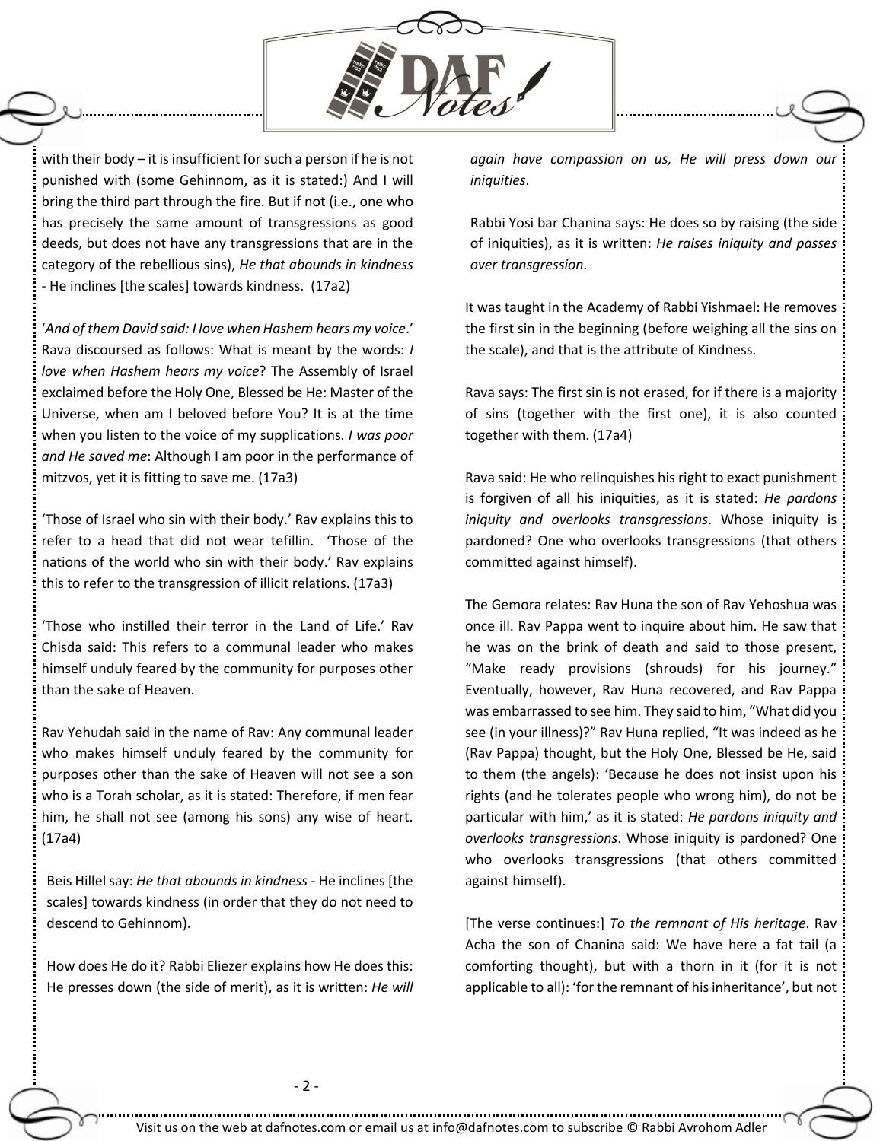

with their body – it is insufficient for such a person if he is not punished with (some Gehinnom, as it is stated:) And I will bring the third part through the fire. But if not (i.e., one who has precisely the same amount of transgressions as good deeds, but does not have any transgressions that are in the category of the rebellious sins), *He that abounds in kindness* - He inclines [the scales] towards kindness. (17a2)

'*And of them David said: I love when Hashem hears my voice*.' Rava discoursed as follows: What is meant by the words: *I love when Hashem hears my voice*? The Assembly of Israel exclaimed before the Holy One, Blessed be He: Master of the Universe, when am I beloved before You? It is at the time when you listen to the voice of my supplications. *I was poor and He saved me*: Although I am poor in the performance of mitzvos, yet it is fitting to save me. (17a3)

'Those of Israel who sin with their body.' Rav explains this to refer to a head that did not wear tefillin. 'Those of the nations of the world who sin with their body.' Rav explains this to refer to the transgression of illicit relations. (17a3)

'Those who instilled their terror in the Land of Life.' Rav Chisda said: This refers to a communal leader who makes himself unduly feared by the community for purposes other than the sake of Heaven.

Rav Yehudah said in the name of Rav: Any communal leader who makes himself unduly feared by the community for purposes other than the sake of Heaven will not see a son who is a Torah scholar, as it is stated: Therefore, if men fear him, he shall not see (among his sons) any wise of heart. (17a4)

Beis Hillel say: *He that abounds in kindness* - He inclines [the scales] towards kindness (in order that they do not need to descend to Gehinnom).

How does He do it? Rabbi Eliezer explains how He does this: He presses down (the side of merit), as it is written: *He will*  *again have compassion on us, He will press down our iniquities*.

Rabbi Yosi bar Chanina says: He does so by raising (the side of iniquities), as it is written: *He raises iniquity and passes over transgression*.

It was taught in the Academy of Rabbi Yishmael: He removes the first sin in the beginning (before weighing all the sins on the scale), and that is the attribute of Kindness.

Rava says: The first sin is not erased, for if there is a majority of sins (together with the first one), it is also counted together with them. (17a4)

Rava said: He who relinquishes his right to exact punishment is forgiven of all his iniquities, as it is stated: *He pardons iniquity and overlooks transgressions*. Whose iniquity is pardoned? One who overlooks transgressions (that others committed against himself).

The Gemora relates: Rav Huna the son of Rav Yehoshua was once ill. Rav Pappa went to inquire about him. He saw that he was on the brink of death and said to those present, "Make ready provisions (shrouds) for his journey." Eventually, however, Rav Huna recovered, and Rav Pappa was embarrassed to see him. They said to him, "What did you see (in your illness)?" Rav Huna replied, "It was indeed as he (Rav Pappa) thought, but the Holy One, Blessed be He, said to them (the angels): 'Because he does not insist upon his rights (and he tolerates people who wrong him), do not be particular with him,' as it is stated: *He pardons iniquity and overlooks transgressions*. Whose iniquity is pardoned? One who overlooks transgressions (that others committed against himself).

[The verse continues:] *To the remnant of His heritage*. Rav Acha the son of Chanina said: We have here a fat tail (a comforting thought), but with a thorn in it (for it is not applicable to all): 'for the remnant of his inheritance', but not :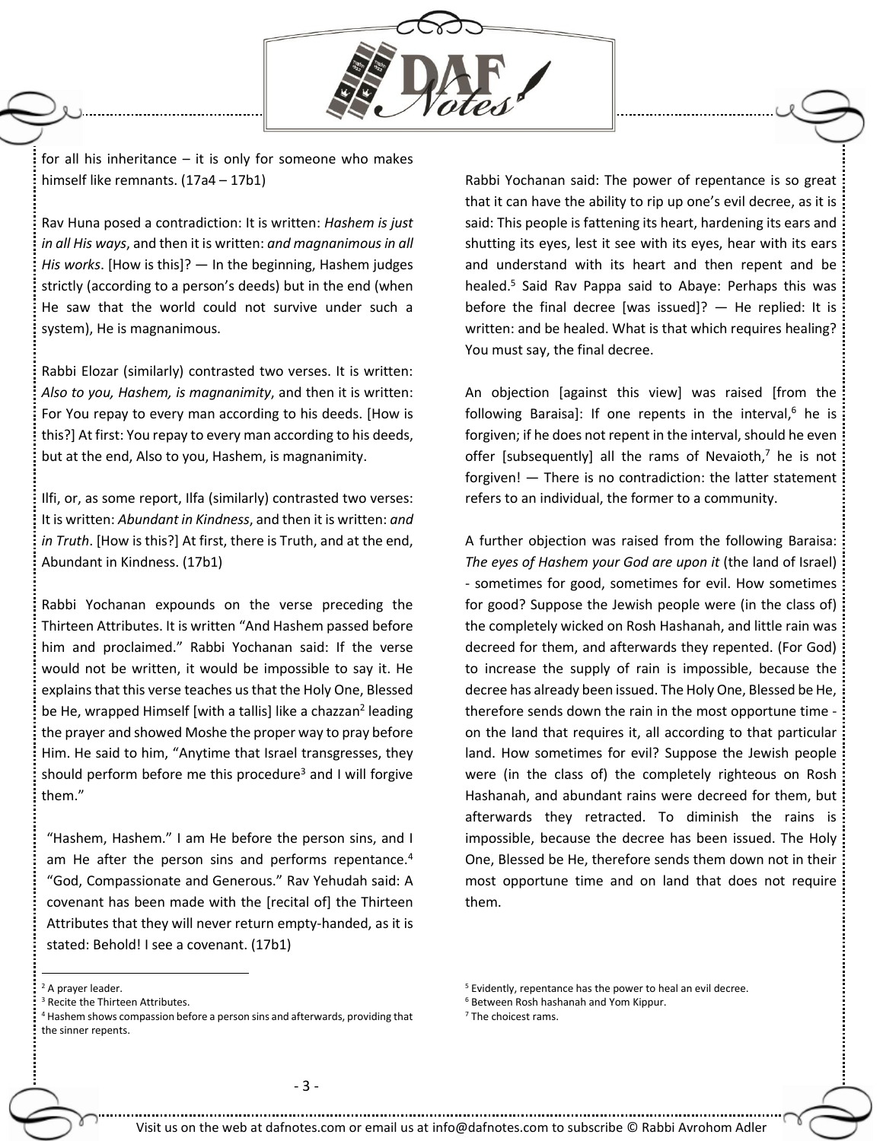

for all his inheritance  $-$  it is only for someone who makes himself like remnants. (17a4 – 17b1)

Rav Huna posed a contradiction: It is written: *Hashem is just in all His ways*, and then it is written: *and magnanimousin all His works*. [How is this]? — In the beginning, Hashem judges strictly (according to a person's deeds) but in the end (when He saw that the world could not survive under such a system), He is magnanimous.

Rabbi Elozar (similarly) contrasted two verses. It is written: *Also to you, Hashem, is magnanimity*, and then it is written: For You repay to every man according to his deeds. [How is this?] At first: You repay to every man according to his deeds, but at the end, Also to you, Hashem, is magnanimity.

Ilfi, or, as some report, Ilfa (similarly) contrasted two verses: It is written: *Abundant in Kindness*, and then it is written: *and in Truth*. [How is this?] At first, there is Truth, and at the end, Abundant in Kindness. (17b1)

Rabbi Yochanan expounds on the verse preceding the Thirteen Attributes. It is written "And Hashem passed before him and proclaimed." Rabbi Yochanan said: If the verse would not be written, it would be impossible to say it. He explains that this verse teaches us that the Holy One, Blessed be He, wrapped Himself [with a tallis] like a chazzan<sup>2</sup> leading the prayer and showed Moshe the proper way to pray before Him. He said to him, "Anytime that Israel transgresses, they should perform before me this procedure<sup>3</sup> and I will forgive them."

"Hashem, Hashem." I am He before the person sins, and I am He after the person sins and performs repentance.<sup>4</sup> "God, Compassionate and Generous." Rav Yehudah said: A covenant has been made with the [recital of] the Thirteen Attributes that they will never return empty-handed, as it is stated: Behold! I see a covenant. (17b1)

Rabbi Yochanan said: The power of repentance is so great that it can have the ability to rip up one's evil decree, as it is said: This people is fattening its heart, hardening its ears and shutting its eyes, lest it see with its eyes, hear with its ears and understand with its heart and then repent and be healed.<sup>5</sup> Said Rav Pappa said to Abaye: Perhaps this was before the final decree [was issued]?  $-$  He replied: It is written: and be healed. What is that which requires healing? You must say, the final decree.

An objection [against this view] was raised [from the following Baraisa]: If one repents in the interval, $6$  he is forgiven; if he does not repent in the interval, should he even offer [subsequently] all the rams of Nevaioth, $<sup>7</sup>$  he is not</sup> forgiven! — There is no contradiction: the latter statement refers to an individual, the former to a community.

A further objection was raised from the following Baraisa: *The eyes of Hashem your God are upon it* (the land of Israel) - sometimes for good, sometimes for evil. How sometimes for good? Suppose the Jewish people were (in the class of) the completely wicked on Rosh Hashanah, and little rain was decreed for them, and afterwards they repented. (For God) to increase the supply of rain is impossible, because the decree has already been issued. The Holy One, Blessed be He, therefore sends down the rain in the most opportune time on the land that requires it, all according to that particular land. How sometimes for evil? Suppose the Jewish people were (in the class of) the completely righteous on Rosh Hashanah, and abundant rains were decreed for them, but afterwards they retracted. To diminish the rains is impossible, because the decree has been issued. The Holy One, Blessed be He, therefore sends them down not in their most opportune time and on land that does not require them.

 $\overline{a}$ 

<sup>7</sup> The choicest rams.

<sup>&</sup>lt;sup>2</sup> A praver leader.

<sup>3</sup> Recite the Thirteen Attributes.

<sup>&</sup>lt;sup>4</sup> Hashem shows compassion before a person sins and afterwards, providing that the sinner repents.

<sup>&</sup>lt;sup>5</sup> Evidently, repentance has the power to heal an evil decree.

<sup>6</sup> Between Rosh hashanah and Yom Kippur.